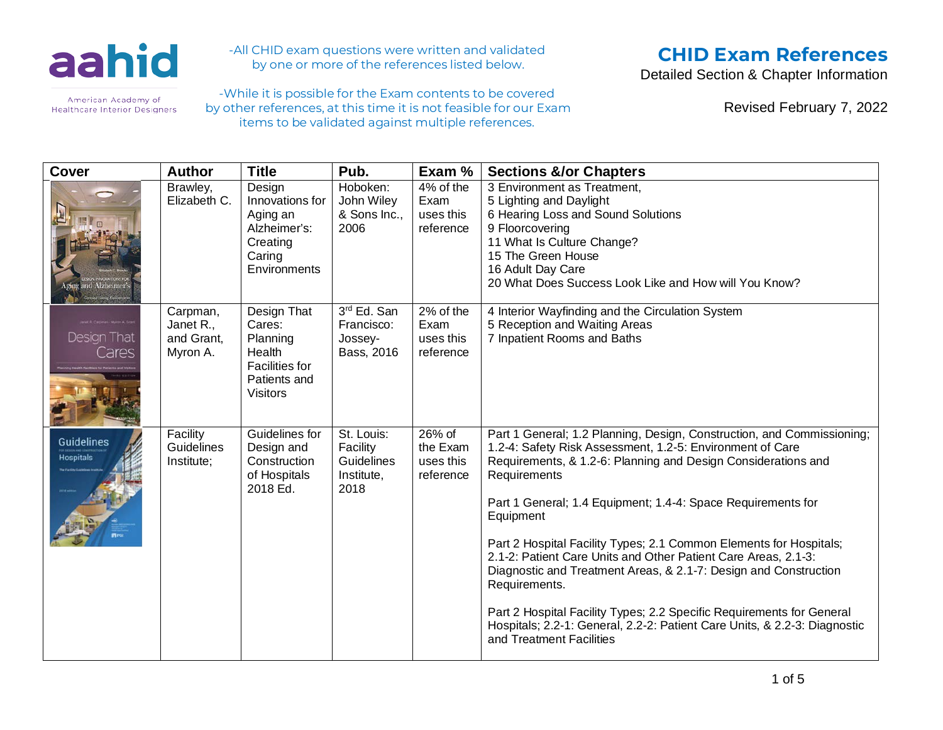

-All CHID exam questions were written and validated by one or more of the references listed below.

-While it is possible for the Exam contents to be covered by other references, at this time it is not feasible for our Exam items to be validated against multiple references.

# **CHID Exam References**

Detailed Section & Chapter Information

Revised February 7, 2022

| <b>Cover</b>                          | <b>Author</b>                                   | <b>Title</b>                                                                                            | Pub.                                                              | Exam %                                         | <b>Sections &amp;/or Chapters</b>                                                                                                                                                                                                                                                                                                                                                                                                                                                                                                                                                                                                                                                                                |
|---------------------------------------|-------------------------------------------------|---------------------------------------------------------------------------------------------------------|-------------------------------------------------------------------|------------------------------------------------|------------------------------------------------------------------------------------------------------------------------------------------------------------------------------------------------------------------------------------------------------------------------------------------------------------------------------------------------------------------------------------------------------------------------------------------------------------------------------------------------------------------------------------------------------------------------------------------------------------------------------------------------------------------------------------------------------------------|
| <b>Prog and Alzbeimer</b>             | Brawley,<br>Elizabeth C.                        | Design<br>Innovations for<br>Aging an<br>Alzheimer's:<br>Creating<br>Caring<br>Environments             | Hoboken:<br>John Wiley<br>& Sons Inc.,<br>2006                    | 4% of the<br>Exam<br>uses this<br>reference    | 3 Environment as Treatment,<br>5 Lighting and Daylight<br>6 Hearing Loss and Sound Solutions<br>9 Floorcovering<br>11 What Is Culture Change?<br>15 The Green House<br>16 Adult Day Care<br>20 What Does Success Look Like and How will You Know?                                                                                                                                                                                                                                                                                                                                                                                                                                                                |
| Design That<br>Cares                  | Carpman,<br>Janet R.,<br>and Grant,<br>Myron A. | Design That<br>Cares:<br>Planning<br>Health<br><b>Facilities for</b><br>Patients and<br><b>Visitors</b> | 3rd Ed. San<br>Francisco:<br>Jossey-<br>Bass, 2016                | 2% of the<br>Exam<br>uses this<br>reference    | 4 Interior Wayfinding and the Circulation System<br>5 Reception and Waiting Areas<br>7 Inpatient Rooms and Baths                                                                                                                                                                                                                                                                                                                                                                                                                                                                                                                                                                                                 |
| <b>Guidelines</b><br><b>Hospitals</b> | Facility<br><b>Guidelines</b><br>Institute;     | Guidelines for<br>Design and<br>Construction<br>of Hospitals<br>2018 Ed.                                | St. Louis:<br>Facility<br><b>Guidelines</b><br>Institute,<br>2018 | $26%$ of<br>the Exam<br>uses this<br>reference | Part 1 General; 1.2 Planning, Design, Construction, and Commissioning;<br>1.2-4: Safety Risk Assessment, 1.2-5: Environment of Care<br>Requirements, & 1.2-6: Planning and Design Considerations and<br>Requirements<br>Part 1 General; 1.4 Equipment; 1.4-4: Space Requirements for<br>Equipment<br>Part 2 Hospital Facility Types; 2.1 Common Elements for Hospitals;<br>2.1-2: Patient Care Units and Other Patient Care Areas, 2.1-3:<br>Diagnostic and Treatment Areas, & 2.1-7: Design and Construction<br>Requirements.<br>Part 2 Hospital Facility Types; 2.2 Specific Requirements for General<br>Hospitals; 2.2-1: General, 2.2-2: Patient Care Units, & 2.2-3: Diagnostic<br>and Treatment Facilities |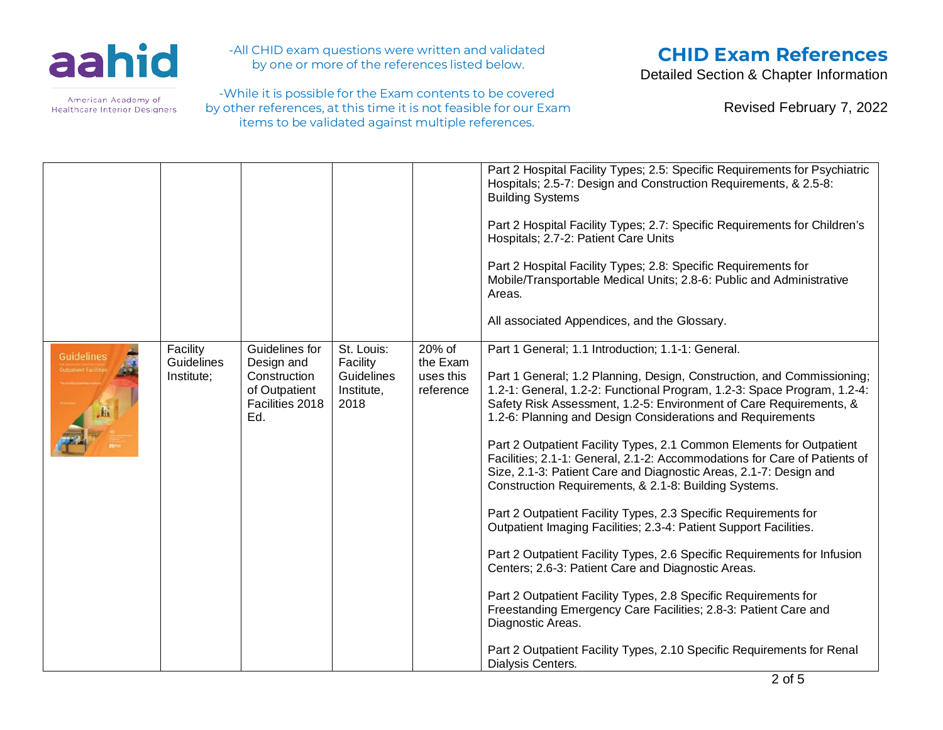

-All CHID exam questions were written and validated by one or more of the references listed below.

-While it is possible for the Exam contents to be covered by other references, at this time it is not feasible for our Exam items to be validated against multiple references.

# **CHID Exam References**

Detailed Section & Chapter Information

|                   |                                             |                                                                                         |                                                            |                                              | Part 2 Hospital Facility Types; 2.5: Specific Requirements for Psychiatric<br>Hospitals; 2.5-7: Design and Construction Requirements, & 2.5-8:<br><b>Building Systems</b><br>Part 2 Hospital Facility Types; 2.7: Specific Requirements for Children's<br>Hospitals; 2.7-2: Patient Care Units<br>Part 2 Hospital Facility Types; 2.8: Specific Requirements for<br>Mobile/Transportable Medical Units; 2.8-6: Public and Administrative<br>Areas.<br>All associated Appendices, and the Glossary.                                                                                                                                                                                                                                                                                                                                                                                                                                                                                                                                                                                                                                                                |
|-------------------|---------------------------------------------|-----------------------------------------------------------------------------------------|------------------------------------------------------------|----------------------------------------------|-------------------------------------------------------------------------------------------------------------------------------------------------------------------------------------------------------------------------------------------------------------------------------------------------------------------------------------------------------------------------------------------------------------------------------------------------------------------------------------------------------------------------------------------------------------------------------------------------------------------------------------------------------------------------------------------------------------------------------------------------------------------------------------------------------------------------------------------------------------------------------------------------------------------------------------------------------------------------------------------------------------------------------------------------------------------------------------------------------------------------------------------------------------------|
| <b>Guidelines</b> | Facility<br><b>Guidelines</b><br>Institute; | Guidelines for<br>Design and<br>Construction<br>of Outpatient<br>Facilities 2018<br>Ed. | St. Louis:<br>Facility<br>Guidelines<br>Institute,<br>2018 | 20% of<br>the Exam<br>uses this<br>reference | Part 1 General; 1.1 Introduction; 1.1-1: General.<br>Part 1 General; 1.2 Planning, Design, Construction, and Commissioning;<br>1.2-1: General, 1.2-2: Functional Program, 1.2-3: Space Program, 1.2-4:<br>Safety Risk Assessment, 1.2-5: Environment of Care Requirements, &<br>1.2-6: Planning and Design Considerations and Requirements<br>Part 2 Outpatient Facility Types, 2.1 Common Elements for Outpatient<br>Facilities; 2.1-1: General, 2.1-2: Accommodations for Care of Patients of<br>Size, 2.1-3: Patient Care and Diagnostic Areas, 2.1-7: Design and<br>Construction Requirements, & 2.1-8: Building Systems.<br>Part 2 Outpatient Facility Types, 2.3 Specific Requirements for<br>Outpatient Imaging Facilities; 2.3-4: Patient Support Facilities.<br>Part 2 Outpatient Facility Types, 2.6 Specific Requirements for Infusion<br>Centers; 2.6-3: Patient Care and Diagnostic Areas.<br>Part 2 Outpatient Facility Types, 2.8 Specific Requirements for<br>Freestanding Emergency Care Facilities; 2.8-3: Patient Care and<br>Diagnostic Areas.<br>Part 2 Outpatient Facility Types, 2.10 Specific Requirements for Renal<br>Dialysis Centers. |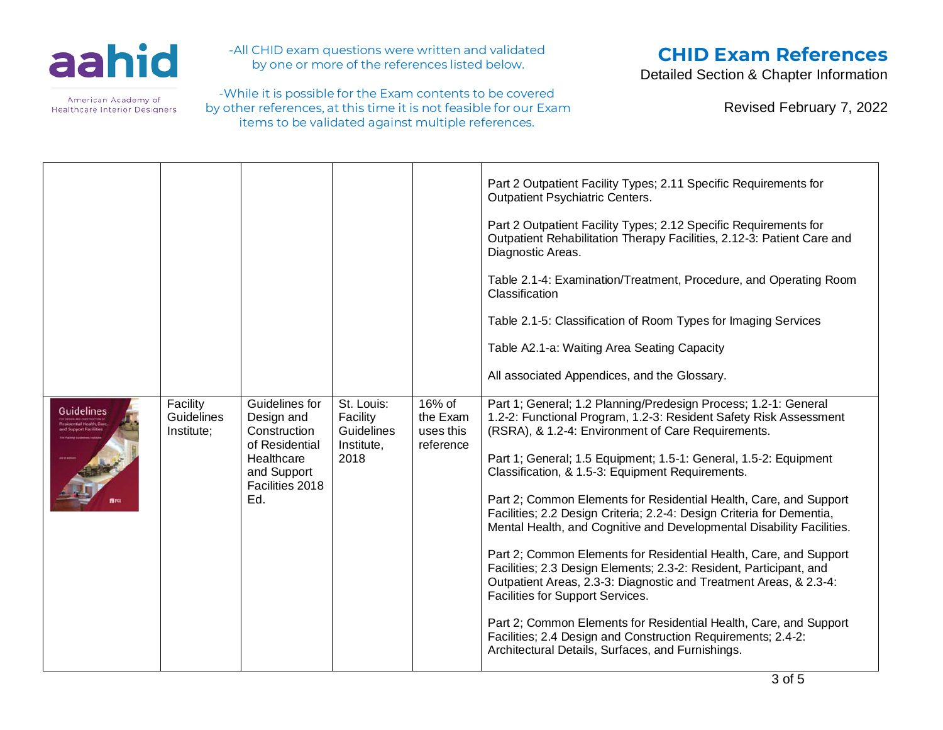

-All CHID exam questions were written and validated by one or more of the references listed below.

-While it is possible for the Exam contents to be covered by other references, at this time it is not feasible for our Exam items to be validated against multiple references.

# **CHID Exam References**

Detailed Section & Chapter Information

| <b>Guidelines</b> | Facility<br><b>Guidelines</b><br>Institute; | Guidelines for<br>Design and<br>Construction<br>of Residential<br>Healthcare<br>and Support<br>Facilities 2018<br>Ed. | St. Louis:<br>Facility<br>Guidelines<br>Institute,<br>2018 | 16% of<br>the Exam<br>uses this<br>reference | Part 2 Outpatient Facility Types; 2.11 Specific Requirements for<br><b>Outpatient Psychiatric Centers.</b><br>Part 2 Outpatient Facility Types; 2.12 Specific Requirements for<br>Outpatient Rehabilitation Therapy Facilities, 2.12-3: Patient Care and<br>Diagnostic Areas.<br>Table 2.1-4: Examination/Treatment, Procedure, and Operating Room<br>Classification<br>Table 2.1-5: Classification of Room Types for Imaging Services<br>Table A2.1-a: Waiting Area Seating Capacity<br>All associated Appendices, and the Glossary.<br>Part 1; General; 1.2 Planning/Predesign Process; 1.2-1: General<br>1.2-2: Functional Program, 1.2-3: Resident Safety Risk Assessment<br>(RSRA), & 1.2-4: Environment of Care Requirements.<br>Part 1; General; 1.5 Equipment; 1.5-1: General, 1.5-2: Equipment<br>Classification, & 1.5-3: Equipment Requirements.<br>Part 2; Common Elements for Residential Health, Care, and Support<br>Facilities; 2.2 Design Criteria; 2.2-4: Design Criteria for Dementia,<br>Mental Health, and Cognitive and Developmental Disability Facilities.<br>Part 2; Common Elements for Residential Health, Care, and Support<br>Facilities; 2.3 Design Elements; 2.3-2: Resident, Participant, and<br>Outpatient Areas, 2.3-3: Diagnostic and Treatment Areas, & 2.3-4:<br>Facilities for Support Services.<br>Part 2; Common Elements for Residential Health, Care, and Support |
|-------------------|---------------------------------------------|-----------------------------------------------------------------------------------------------------------------------|------------------------------------------------------------|----------------------------------------------|-------------------------------------------------------------------------------------------------------------------------------------------------------------------------------------------------------------------------------------------------------------------------------------------------------------------------------------------------------------------------------------------------------------------------------------------------------------------------------------------------------------------------------------------------------------------------------------------------------------------------------------------------------------------------------------------------------------------------------------------------------------------------------------------------------------------------------------------------------------------------------------------------------------------------------------------------------------------------------------------------------------------------------------------------------------------------------------------------------------------------------------------------------------------------------------------------------------------------------------------------------------------------------------------------------------------------------------------------------------------------------------------------------------|
|                   |                                             |                                                                                                                       |                                                            |                                              | Facilities; 2.4 Design and Construction Requirements; 2.4-2:<br>Architectural Details, Surfaces, and Furnishings.                                                                                                                                                                                                                                                                                                                                                                                                                                                                                                                                                                                                                                                                                                                                                                                                                                                                                                                                                                                                                                                                                                                                                                                                                                                                                           |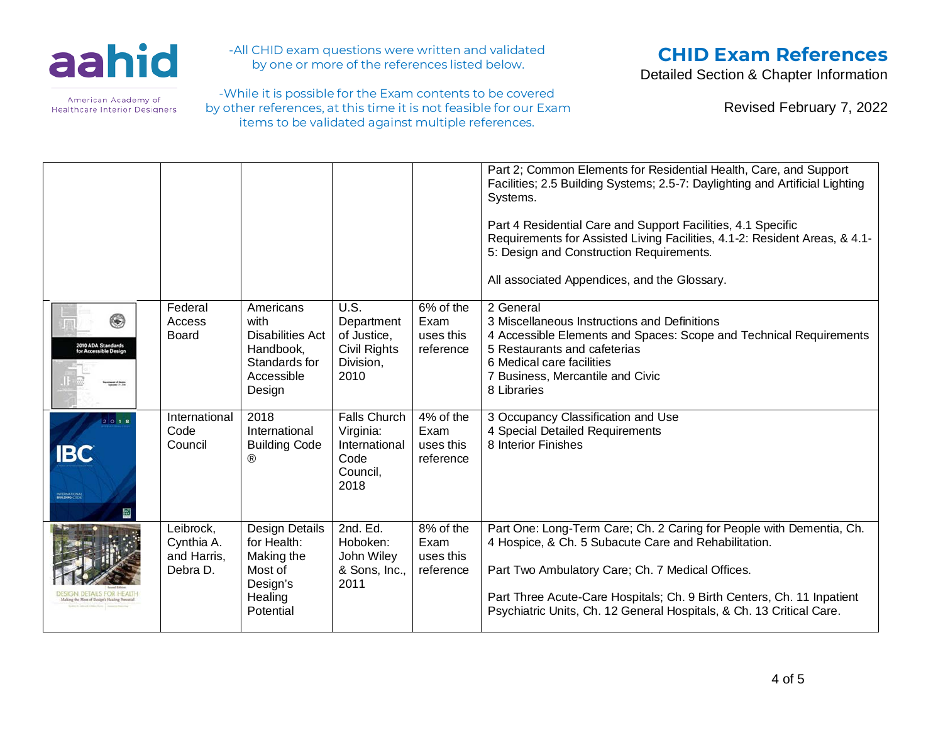

-All CHID exam questions were written and validated by one or more of the references listed below.

-While it is possible for the Exam contents to be covered by other references, at this time it is not feasible for our Exam items to be validated against multiple references.

## **CHID Exam References**

Detailed Section & Chapter Information

Revised February 7, 2022

|                                                              |                                                    |                                                                                                    |                                                                               |                                             | Part 2; Common Elements for Residential Health, Care, and Support<br>Facilities; 2.5 Building Systems; 2.5-7: Daylighting and Artificial Lighting<br>Systems.<br>Part 4 Residential Care and Support Facilities, 4.1 Specific<br>Requirements for Assisted Living Facilities, 4.1-2: Resident Areas, & 4.1-<br>5: Design and Construction Requirements.<br>All associated Appendices, and the Glossary. |
|--------------------------------------------------------------|----------------------------------------------------|----------------------------------------------------------------------------------------------------|-------------------------------------------------------------------------------|---------------------------------------------|---------------------------------------------------------------------------------------------------------------------------------------------------------------------------------------------------------------------------------------------------------------------------------------------------------------------------------------------------------------------------------------------------------|
| ۴<br>2010 ADA Standards<br>for Accessible Design<br>$ +$ $-$ | Federal<br>Access<br><b>Board</b>                  | Americans<br>with<br><b>Disabilities Act</b><br>Handbook,<br>Standards for<br>Accessible<br>Design | U.S.<br>Department<br>of Justice.<br><b>Civil Rights</b><br>Division,<br>2010 | 6% of the<br>Exam<br>uses this<br>reference | 2 General<br>3 Miscellaneous Instructions and Definitions<br>4 Accessible Elements and Spaces: Scope and Technical Requirements<br>5 Restaurants and cafeterias<br>6 Medical care facilities<br>7 Business, Mercantile and Civic<br>8 Libraries                                                                                                                                                         |
| 2018<br><b>IBC</b><br>INTERNATIONAL                          | International<br>Code<br>Council                   | 2018<br>International<br><b>Building Code</b><br>®                                                 | <b>Falls Church</b><br>Virginia:<br>International<br>Code<br>Council,<br>2018 | 4% of the<br>Exam<br>uses this<br>reference | 3 Occupancy Classification and Use<br>4 Special Detailed Requirements<br>8 Interior Finishes                                                                                                                                                                                                                                                                                                            |
|                                                              | Leibrock,<br>Cynthia A.<br>and Harris,<br>Debra D. | <b>Design Details</b><br>for Health:<br>Making the<br>Most of<br>Design's<br>Healing<br>Potential  | 2nd. Ed.<br>Hoboken:<br>John Wiley<br>& Sons, Inc.,<br>2011                   | 8% of the<br>Exam<br>uses this<br>reference | Part One: Long-Term Care; Ch. 2 Caring for People with Dementia, Ch.<br>4 Hospice, & Ch. 5 Subacute Care and Rehabilitation.<br>Part Two Ambulatory Care; Ch. 7 Medical Offices.<br>Part Three Acute-Care Hospitals; Ch. 9 Birth Centers, Ch. 11 Inpatient<br>Psychiatric Units, Ch. 12 General Hospitals, & Ch. 13 Critical Care.                                                                      |